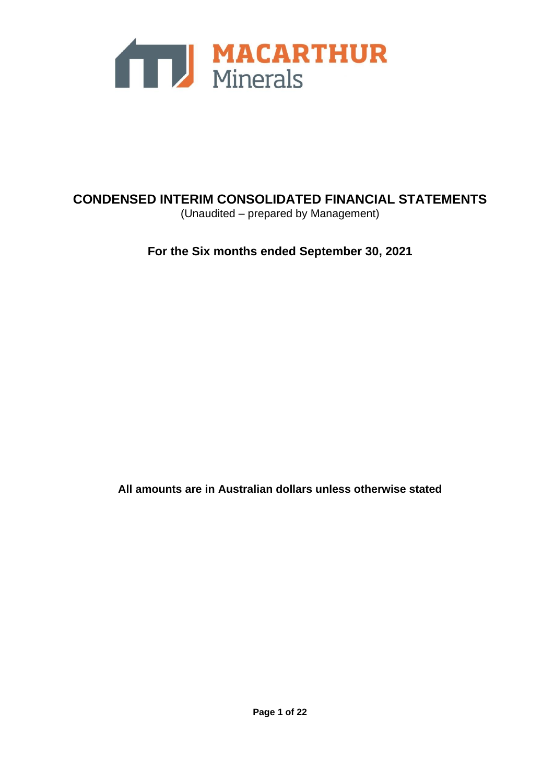

# **CONDENSED INTERIM CONSOLIDATED FINANCIAL STATEMENTS** (Unaudited – prepared by Management)

**For the Six months ended September 30, 2021**

**All amounts are in Australian dollars unless otherwise stated**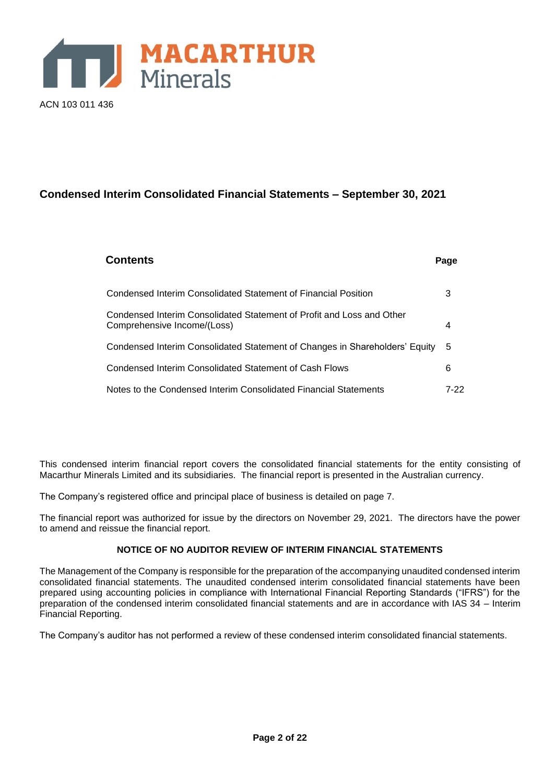

# **Condensed Interim Consolidated Financial Statements – September 30, 2021**

| <b>Contents</b>                                                                                      | Page |
|------------------------------------------------------------------------------------------------------|------|
| Condensed Interim Consolidated Statement of Financial Position                                       | 3    |
| Condensed Interim Consolidated Statement of Profit and Loss and Other<br>Comprehensive Income/(Loss) | 4    |
| Condensed Interim Consolidated Statement of Changes in Shareholders' Equity                          | 5    |
| Condensed Interim Consolidated Statement of Cash Flows                                               | 6    |
| Notes to the Condensed Interim Consolidated Financial Statements                                     | 7-22 |

This condensed interim financial report covers the consolidated financial statements for the entity consisting of Macarthur Minerals Limited and its subsidiaries. The financial report is presented in the Australian currency.

The Company's registered office and principal place of business is detailed on page 7.

The financial report was authorized for issue by the directors on November 29, 2021. The directors have the power to amend and reissue the financial report.

# **NOTICE OF NO AUDITOR REVIEW OF INTERIM FINANCIAL STATEMENTS**

The Management of the Company is responsible for the preparation of the accompanying unaudited condensed interim consolidated financial statements. The unaudited condensed interim consolidated financial statements have been prepared using accounting policies in compliance with International Financial Reporting Standards ("IFRS") for the preparation of the condensed interim consolidated financial statements and are in accordance with IAS 34 – Interim Financial Reporting.

The Company's auditor has not performed a review of these condensed interim consolidated financial statements.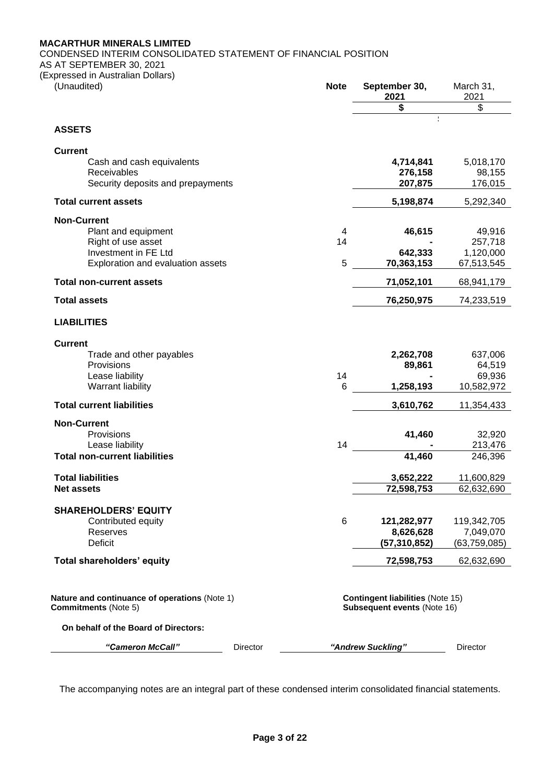# **MACARTHUR MINERALS LIMITED**

CONDENSED INTERIM CONSOLIDATED STATEMENT OF FINANCIAL POSITION

AS AT SEPTEMBER 30, 2021

(Expressed in Australian Dollars)

| 2021<br>\$<br><b>ASSETS</b><br><b>Current</b><br>Cash and cash equivalents<br>4,714,841<br>Receivables<br>276,158<br>207,875<br>Security deposits and prepayments<br><b>Total current assets</b><br>5,198,874<br><b>Non-Current</b><br>46,615<br>Plant and equipment<br>4<br>Right of use asset<br>14<br>Investment in FE Ltd<br>642,333<br>5<br>70,363,153 | March 31,<br>2021 |
|-------------------------------------------------------------------------------------------------------------------------------------------------------------------------------------------------------------------------------------------------------------------------------------------------------------------------------------------------------------|-------------------|
|                                                                                                                                                                                                                                                                                                                                                             | \$                |
|                                                                                                                                                                                                                                                                                                                                                             |                   |
|                                                                                                                                                                                                                                                                                                                                                             |                   |
|                                                                                                                                                                                                                                                                                                                                                             | 5,018,170         |
|                                                                                                                                                                                                                                                                                                                                                             | 98,155            |
|                                                                                                                                                                                                                                                                                                                                                             | 176,015           |
|                                                                                                                                                                                                                                                                                                                                                             | 5,292,340         |
|                                                                                                                                                                                                                                                                                                                                                             |                   |
|                                                                                                                                                                                                                                                                                                                                                             | 49,916            |
|                                                                                                                                                                                                                                                                                                                                                             | 257,718           |
|                                                                                                                                                                                                                                                                                                                                                             | 1,120,000         |
| Exploration and evaluation assets                                                                                                                                                                                                                                                                                                                           | 67,513,545        |
| <b>Total non-current assets</b><br>71,052,101                                                                                                                                                                                                                                                                                                               | 68,941,179        |
| 76,250,975<br><b>Total assets</b>                                                                                                                                                                                                                                                                                                                           | 74,233,519        |
| <b>LIABILITIES</b>                                                                                                                                                                                                                                                                                                                                          |                   |
| <b>Current</b>                                                                                                                                                                                                                                                                                                                                              |                   |
| 2,262,708<br>Trade and other payables                                                                                                                                                                                                                                                                                                                       | 637,006           |
| Provisions<br>89,861                                                                                                                                                                                                                                                                                                                                        | 64,519            |
| 14<br>Lease liability                                                                                                                                                                                                                                                                                                                                       | 69,936            |
| 6<br>Warrant liability<br>1,258,193                                                                                                                                                                                                                                                                                                                         | 10,582,972        |
| <b>Total current liabilities</b><br>3,610,762                                                                                                                                                                                                                                                                                                               | 11,354,433        |
| <b>Non-Current</b>                                                                                                                                                                                                                                                                                                                                          |                   |
| Provisions<br>41,460                                                                                                                                                                                                                                                                                                                                        | 32,920            |
| 14<br>Lease liability                                                                                                                                                                                                                                                                                                                                       | 213,476           |
| 41,460<br><b>Total non-current liabilities</b>                                                                                                                                                                                                                                                                                                              | 246,396           |
| <b>Total liabilities</b><br>3,652,222                                                                                                                                                                                                                                                                                                                       | 11,600,829        |
| <b>Net assets</b><br>72,598,753                                                                                                                                                                                                                                                                                                                             | 62,632,690        |
| <b>SHAREHOLDERS' EQUITY</b>                                                                                                                                                                                                                                                                                                                                 |                   |
| 6<br>Contributed equity<br>121,282,977                                                                                                                                                                                                                                                                                                                      | 119,342,705       |
| Reserves<br>8,626,628                                                                                                                                                                                                                                                                                                                                       | 7,049,070         |
| Deficit<br>(57, 310, 852)                                                                                                                                                                                                                                                                                                                                   | (63,759,085)      |
| Total shareholders' equity<br>72,598,753                                                                                                                                                                                                                                                                                                                    | 62,632,690        |
| Nature and continuance of operations (Note 1)<br><b>Contingent liabilities (Note 15)</b><br><b>Commitments (Note 5)</b><br>Subsequent events (Note 16)                                                                                                                                                                                                      |                   |
| On behalf of the Board of Directors:                                                                                                                                                                                                                                                                                                                        |                   |
| "Andrew Suckling"<br>"Cameron McCall"<br>Director<br>Director                                                                                                                                                                                                                                                                                               |                   |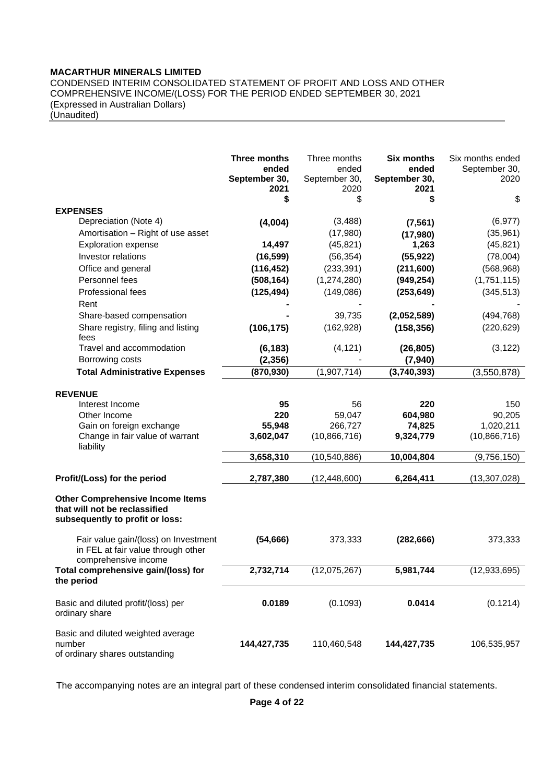# **MACARTHUR MINERALS LIMITED**

CONDENSED INTERIM CONSOLIDATED STATEMENT OF PROFIT AND LOSS AND OTHER COMPREHENSIVE INCOME/(LOSS) FOR THE PERIOD ENDED SEPTEMBER 30, 2021 (Expressed in Australian Dollars)

(Unaudited)

|                                                                                                             | Three months<br>ended<br>September 30,<br>2021<br>\$ | Three months<br>ended<br>September 30,<br>2020<br>\$ | <b>Six months</b><br>ended<br>September 30,<br>2021<br>\$ | Six months ended<br>September 30,<br>2020<br>\$ |
|-------------------------------------------------------------------------------------------------------------|------------------------------------------------------|------------------------------------------------------|-----------------------------------------------------------|-------------------------------------------------|
| <b>EXPENSES</b>                                                                                             |                                                      |                                                      |                                                           |                                                 |
| Depreciation (Note 4)<br>Amortisation - Right of use asset                                                  | (4,004)                                              | (3, 488)<br>(17,980)                                 | (7, 561)<br>(17,980)                                      | (6, 977)<br>(35, 961)                           |
| <b>Exploration expense</b>                                                                                  | 14,497                                               | (45, 821)                                            | 1,263                                                     | (45, 821)                                       |
| Investor relations                                                                                          | (16, 599)                                            | (56, 354)                                            | (55, 922)                                                 | (78,004)                                        |
| Office and general                                                                                          | (116, 452)                                           | (233, 391)                                           | (211,600)                                                 | (568, 968)                                      |
| Personnel fees                                                                                              | (508, 164)                                           | (1, 274, 280)                                        | (949, 254)                                                | (1,751,115)                                     |
| Professional fees<br>Rent                                                                                   | (125, 494)                                           | (149,086)                                            | (253, 649)                                                | (345, 513)                                      |
| Share-based compensation                                                                                    |                                                      | 39,735                                               | (2,052,589)                                               | (494, 768)                                      |
| Share registry, filing and listing<br>fees                                                                  | (106, 175)                                           | (162, 928)                                           | (158, 356)                                                | (220, 629)                                      |
| Travel and accommodation                                                                                    | (6, 183)                                             | (4, 121)                                             | (26, 805)                                                 | (3, 122)                                        |
| Borrowing costs                                                                                             | (2, 356)                                             |                                                      | (7,940)                                                   |                                                 |
| <b>Total Administrative Expenses</b>                                                                        | (870, 930)                                           | (1,907,714)                                          | (3,740,393)                                               | (3,550,878)                                     |
|                                                                                                             |                                                      |                                                      |                                                           |                                                 |
| <b>REVENUE</b>                                                                                              |                                                      |                                                      |                                                           |                                                 |
| Interest Income<br>Other Income                                                                             | 95<br>220                                            | 56<br>59,047                                         | 220<br>604,980                                            | 150<br>90,205                                   |
| Gain on foreign exchange                                                                                    | 55,948                                               | 266,727                                              | 74,825                                                    | 1,020,211                                       |
| Change in fair value of warrant<br>liability                                                                | 3,602,047                                            | (10,866,716)                                         | 9,324,779                                                 | (10,866,716)                                    |
|                                                                                                             | 3,658,310                                            | (10, 540, 886)                                       | 10,004,804                                                | (9,756,150)                                     |
| Profit/(Loss) for the period                                                                                | 2,787,380                                            | (12, 448, 600)                                       | 6,264,411                                                 | (13, 307, 028)                                  |
| <b>Other Comprehensive Income Items</b><br>that will not be reclassified<br>subsequently to profit or loss: |                                                      |                                                      |                                                           |                                                 |
| Fair value gain/(loss) on Investment<br>in FEL at fair value through other<br>comprehensive income          | (54, 666)                                            | 373,333                                              | (282, 666)                                                | 373,333                                         |
| Total comprehensive gain/(loss) for<br>the period                                                           | 2,732,714                                            | (12,075,267)                                         | 5,981,744                                                 | (12, 933, 695)                                  |
| Basic and diluted profit/(loss) per<br>ordinary share                                                       | 0.0189                                               | (0.1093)                                             | 0.0414                                                    | (0.1214)                                        |
| Basic and diluted weighted average<br>number<br>of ordinary shares outstanding                              | 144,427,735                                          | 110,460,548                                          | 144,427,735                                               | 106,535,957                                     |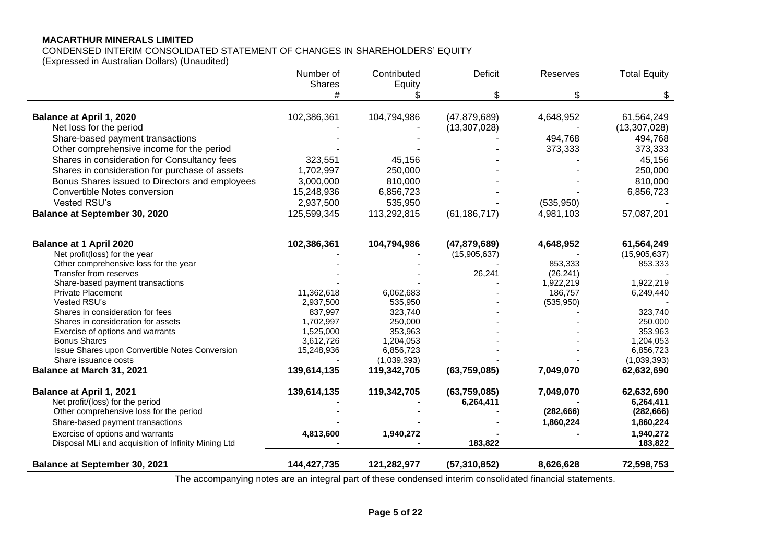# **MACARTHUR MINERALS LIMITED**

# CONDENSED INTERIM CONSOLIDATED STATEMENT OF CHANGES IN SHAREHOLDERS' EQUITY

(Expressed in Australian Dollars) (Unaudited)

|                                                     | Number of   | Contributed | <b>Deficit</b> | Reserves   | <b>Total Equity</b> |
|-----------------------------------------------------|-------------|-------------|----------------|------------|---------------------|
|                                                     | Shares      | Equity      |                |            |                     |
|                                                     |             | ዩ           | \$             | \$         | \$                  |
| <b>Balance at April 1, 2020</b>                     | 102,386,361 | 104,794,986 | (47, 879, 689) | 4,648,952  | 61,564,249          |
| Net loss for the period                             |             |             | (13, 307, 028) |            | (13, 307, 028)      |
| Share-based payment transactions                    |             |             |                | 494,768    | 494,768             |
| Other comprehensive income for the period           |             |             |                | 373,333    | 373,333             |
| Shares in consideration for Consultancy fees        | 323,551     |             |                |            | 45,156              |
|                                                     |             | 45,156      |                |            |                     |
| Shares in consideration for purchase of assets      | 1,702,997   | 250,000     |                |            | 250,000             |
| Bonus Shares issued to Directors and employees      | 3,000,000   | 810,000     |                |            | 810,000             |
| Convertible Notes conversion                        | 15,248,936  | 6,856,723   |                |            | 6,856,723           |
| Vested RSU's                                        | 2,937,500   | 535,950     |                | (535, 950) |                     |
| <b>Balance at September 30, 2020</b>                | 125,599,345 | 113,292,815 | (61, 186, 717) | 4,981,103  | 57,087,201          |
| <b>Balance at 1 April 2020</b>                      | 102,386,361 | 104,794,986 | (47, 879, 689) | 4,648,952  | 61,564,249          |
| Net profit(loss) for the year                       |             |             | (15,905,637)   |            | (15,905,637)        |
| Other comprehensive loss for the year               |             |             |                | 853,333    | 853,333             |
| Transfer from reserves                              |             |             | 26,241         | (26, 241)  |                     |
| Share-based payment transactions                    |             |             |                | 1,922,219  | 1,922,219           |
| <b>Private Placement</b>                            | 11,362,618  | 6,062,683   |                | 186,757    | 6,249,440           |
| Vested RSU's                                        | 2,937,500   | 535,950     |                | (535, 950) |                     |
| Shares in consideration for fees                    | 837,997     | 323,740     |                |            | 323,740             |
| Shares in consideration for assets                  | 1,702,997   | 250,000     |                |            | 250,000             |
| Exercise of options and warrants                    | 1,525,000   | 353,963     |                |            | 353,963             |
| <b>Bonus Shares</b>                                 | 3,612,726   | 1,204,053   |                |            | 1,204,053           |
| Issue Shares upon Convertible Notes Conversion      | 15,248,936  | 6,856,723   |                |            | 6,856,723           |
| Share issuance costs                                |             | (1,039,393) |                |            | (1,039,393)         |
| Balance at March 31, 2021                           | 139,614,135 | 119,342,705 | (63,759,085)   | 7,049,070  | 62,632,690          |
| Balance at April 1, 2021                            | 139,614,135 | 119,342,705 | (63,759,085)   | 7,049,070  | 62,632,690          |
| Net profit/(loss) for the period                    |             |             | 6,264,411      |            | 6,264,411           |
| Other comprehensive loss for the period             |             |             |                | (282, 666) | (282, 666)          |
| Share-based payment transactions                    |             |             |                | 1,860,224  | 1,860,224           |
| Exercise of options and warrants                    | 4,813,600   | 1,940,272   |                |            | 1,940,272           |
| Disposal MLi and acquisition of Infinity Mining Ltd |             |             | 183,822        |            | 183,822             |
| <b>Balance at September 30, 2021</b>                | 144,427,735 | 121,282,977 | (57, 310, 852) | 8,626,628  | 72,598,753          |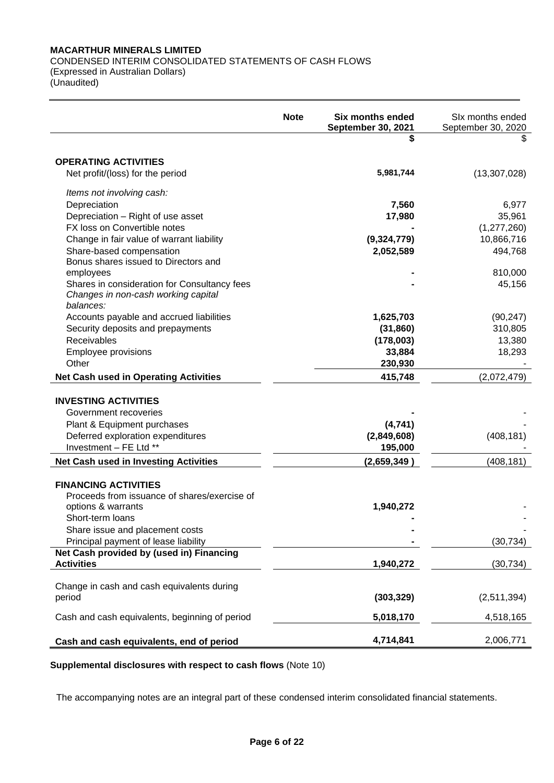# **MACARTHUR MINERALS LIMITED** CONDENSED INTERIM CONSOLIDATED STATEMENTS OF CASH FLOWS

(Expressed in Australian Dollars) (Unaudited)

|                                                         | <b>Note</b> | <b>Six months ended</b><br>September 30, 2021 | SIx months ended<br>September 30, 2020 |
|---------------------------------------------------------|-------------|-----------------------------------------------|----------------------------------------|
|                                                         |             | \$                                            | S                                      |
| <b>OPERATING ACTIVITIES</b>                             |             |                                               |                                        |
| Net profit/(loss) for the period                        |             | 5,981,744                                     | (13, 307, 028)                         |
| Items not involving cash:                               |             |                                               |                                        |
| Depreciation                                            |             | 7,560                                         | 6,977                                  |
| Depreciation - Right of use asset                       |             | 17,980                                        | 35,961                                 |
| FX loss on Convertible notes                            |             |                                               | (1, 277, 260)                          |
| Change in fair value of warrant liability               |             | (9,324,779)                                   | 10,866,716                             |
| Share-based compensation                                |             | 2,052,589                                     | 494,768                                |
| Bonus shares issued to Directors and                    |             |                                               |                                        |
| employees                                               |             |                                               | 810,000                                |
| Shares in consideration for Consultancy fees            |             |                                               | 45,156                                 |
| Changes in non-cash working capital                     |             |                                               |                                        |
| balances:                                               |             |                                               |                                        |
| Accounts payable and accrued liabilities                |             | 1,625,703                                     | (90, 247)                              |
| Security deposits and prepayments<br><b>Receivables</b> |             | (31, 860)<br>(178,003)                        | 310,805<br>13,380                      |
|                                                         |             |                                               | 18,293                                 |
| Employee provisions<br>Other                            |             | 33,884<br>230,930                             |                                        |
|                                                         |             |                                               |                                        |
| <b>Net Cash used in Operating Activities</b>            |             | 415,748                                       | (2,072,479)                            |
| <b>INVESTING ACTIVITIES</b>                             |             |                                               |                                        |
| Government recoveries                                   |             |                                               |                                        |
| Plant & Equipment purchases                             |             | (4,741)                                       |                                        |
| Deferred exploration expenditures                       |             | (2,849,608)                                   | (408, 181)                             |
| Investment - FE Ltd **                                  |             | 195,000                                       |                                        |
| <b>Net Cash used in Investing Activities</b>            |             | (2,659,349)                                   | (408, 181)                             |
|                                                         |             |                                               |                                        |
| <b>FINANCING ACTIVITIES</b>                             |             |                                               |                                        |
| Proceeds from issuance of shares/exercise of            |             |                                               |                                        |
| options & warrants                                      |             | 1,940,272                                     |                                        |
| Short-term loans                                        |             |                                               |                                        |
| Share issue and placement costs                         |             |                                               |                                        |
| Principal payment of lease liability                    |             |                                               | (30, 734)                              |
| Net Cash provided by (used in) Financing                |             |                                               |                                        |
| <b>Activities</b>                                       |             | 1,940,272                                     | (30, 734)                              |
|                                                         |             |                                               |                                        |
| Change in cash and cash equivalents during              |             |                                               |                                        |
| period                                                  |             | (303, 329)                                    | (2,511,394)                            |
| Cash and cash equivalents, beginning of period          |             | 5,018,170                                     | 4,518,165                              |
|                                                         |             |                                               |                                        |
| Cash and cash equivalents, end of period                |             | 4,714,841                                     | 2,006,771                              |

**Supplemental disclosures with respect to cash flows** (Note 10)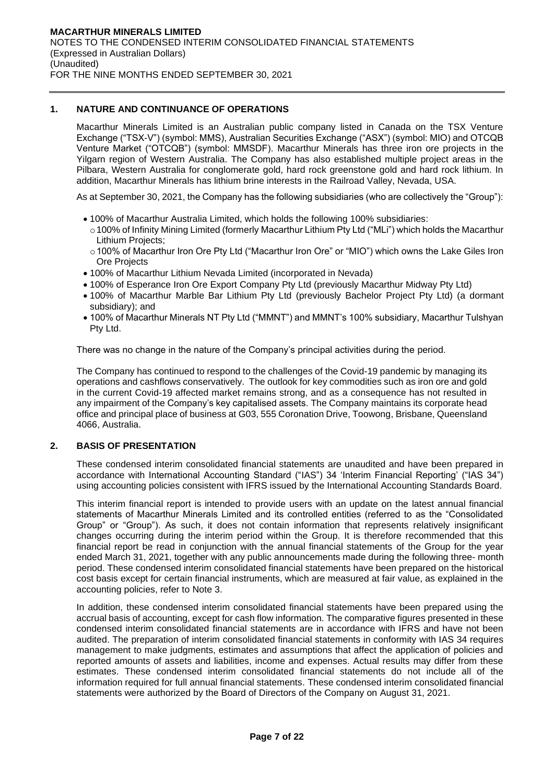# **1. NATURE AND CONTINUANCE OF OPERATIONS**

Macarthur Minerals Limited is an Australian public company listed in Canada on the TSX Venture Exchange ("TSX-V") (symbol: MMS), Australian Securities Exchange ("ASX") (symbol: MIO) and OTCQB Venture Market ("OTCQB") (symbol: MMSDF). Macarthur Minerals has three iron ore projects in the Yilgarn region of Western Australia. The Company has also established multiple project areas in the Pilbara, Western Australia for conglomerate gold, hard rock greenstone gold and hard rock lithium. In addition, Macarthur Minerals has lithium brine interests in the Railroad Valley, Nevada, USA.

As at September 30, 2021, the Company has the following subsidiaries (who are collectively the "Group"):

- 100% of Macarthur Australia Limited, which holds the following 100% subsidiaries:
- o100% of Infinity Mining Limited (formerly Macarthur Lithium Pty Ltd ("MLi") which holds the Macarthur Lithium Projects;
- o 100% of Macarthur Iron Ore Pty Ltd ("Macarthur Iron Ore" or "MIO") which owns the Lake Giles Iron Ore Projects
- 100% of Macarthur Lithium Nevada Limited (incorporated in Nevada)
- 100% of Esperance Iron Ore Export Company Pty Ltd (previously Macarthur Midway Pty Ltd)
- 100% of Macarthur Marble Bar Lithium Pty Ltd (previously Bachelor Project Pty Ltd) (a dormant subsidiary); and
- 100% of Macarthur Minerals NT Pty Ltd ("MMNT") and MMNT's 100% subsidiary, Macarthur Tulshyan Pty Ltd.

There was no change in the nature of the Company's principal activities during the period.

The Company has continued to respond to the challenges of the Covid-19 pandemic by managing its operations and cashflows conservatively. The outlook for key commodities such as iron ore and gold in the current Covid-19 affected market remains strong, and as a consequence has not resulted in any impairment of the Company's key capitalised assets. The Company maintains its corporate head office and principal place of business at G03, 555 Coronation Drive, Toowong, Brisbane, Queensland 4066, Australia.

# **2. BASIS OF PRESENTATION**

These condensed interim consolidated financial statements are unaudited and have been prepared in accordance with International Accounting Standard ("IAS") 34 'Interim Financial Reporting' ("IAS 34") using accounting policies consistent with IFRS issued by the International Accounting Standards Board.

This interim financial report is intended to provide users with an update on the latest annual financial statements of Macarthur Minerals Limited and its controlled entities (referred to as the "Consolidated Group" or "Group"). As such, it does not contain information that represents relatively insignificant changes occurring during the interim period within the Group. It is therefore recommended that this financial report be read in conjunction with the annual financial statements of the Group for the year ended March 31, 2021, together with any public announcements made during the following three- month period. These condensed interim consolidated financial statements have been prepared on the historical cost basis except for certain financial instruments, which are measured at fair value, as explained in the accounting policies, refer to Note 3.

In addition, these condensed interim consolidated financial statements have been prepared using the accrual basis of accounting, except for cash flow information. The comparative figures presented in these condensed interim consolidated financial statements are in accordance with IFRS and have not been audited. The preparation of interim consolidated financial statements in conformity with IAS 34 requires management to make judgments, estimates and assumptions that affect the application of policies and reported amounts of assets and liabilities, income and expenses. Actual results may differ from these estimates. These condensed interim consolidated financial statements do not include all of the information required for full annual financial statements. These condensed interim consolidated financial statements were authorized by the Board of Directors of the Company on August 31, 2021.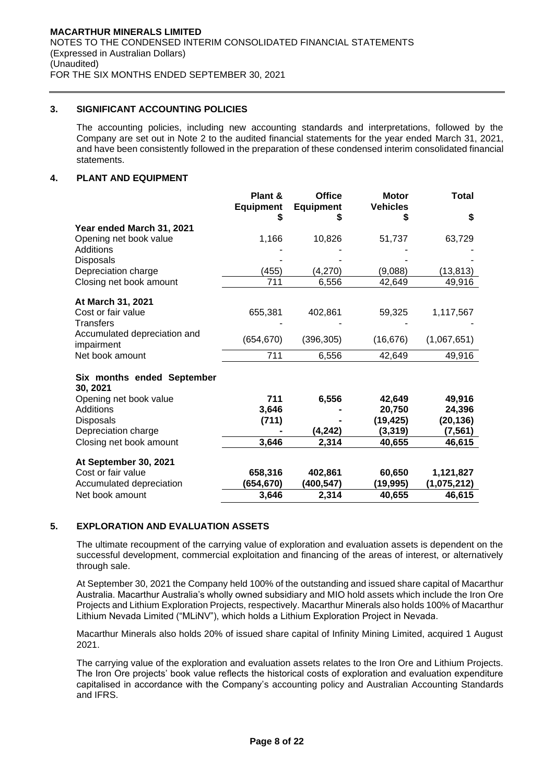# **3. SIGNIFICANT ACCOUNTING POLICIES**

The accounting policies, including new accounting standards and interpretations, followed by the Company are set out in Note 2 to the audited financial statements for the year ended March 31, 2021, and have been consistently followed in the preparation of these condensed interim consolidated financial statements.

# **4. PLANT AND EQUIPMENT**

|                                         | Plant &<br><b>Equipment</b> | <b>Office</b><br><b>Equipment</b> | <b>Motor</b><br><b>Vehicles</b> | Total               |
|-----------------------------------------|-----------------------------|-----------------------------------|---------------------------------|---------------------|
|                                         | S                           | S                                 | S                               | \$                  |
| Year ended March 31, 2021               |                             |                                   |                                 |                     |
| Opening net book value                  | 1,166                       | 10,826                            | 51,737                          | 63,729              |
| Additions                               |                             |                                   |                                 |                     |
| <b>Disposals</b>                        |                             |                                   |                                 |                     |
| Depreciation charge                     | (455)                       | (4,270)                           | (9,088)                         | (13, 813)           |
| Closing net book amount                 | 711                         | 6,556                             | 42,649                          | 49,916              |
| At March 31, 2021                       |                             |                                   |                                 |                     |
| Cost or fair value                      | 655,381                     | 402,861                           | 59,325                          | 1,117,567           |
| <b>Transfers</b>                        |                             |                                   |                                 |                     |
| Accumulated depreciation and            |                             |                                   |                                 |                     |
| impairment                              | (654, 670)                  | (396, 305)                        | (16, 676)                       | (1,067,651)         |
| Net book amount                         | 711                         | 6,556                             | 42,649                          | 49,916              |
|                                         |                             |                                   |                                 |                     |
| Six months ended September              |                             |                                   |                                 |                     |
| 30, 2021                                |                             |                                   |                                 |                     |
| Opening net book value                  | 711                         | 6,556                             | 42,649                          | 49,916              |
| Additions                               | 3,646                       |                                   | 20,750<br>(19, 425)             | 24,396<br>(20, 136) |
| <b>Disposals</b><br>Depreciation charge | (711)                       | (4, 242)                          | (3, 319)                        | (7, 561)            |
| Closing net book amount                 | 3,646                       | 2,314                             | 40,655                          | 46,615              |
|                                         |                             |                                   |                                 |                     |
| At September 30, 2021                   |                             |                                   |                                 |                     |
| Cost or fair value                      | 658,316                     | 402,861                           | 60,650                          | 1,121,827           |
| Accumulated depreciation                | (654,670)                   | (400,547)                         | (19,995)                        | (1,075,212)         |
| Net book amount                         | 3,646                       | 2,314                             | 40,655                          | 46,615              |

# **5. EXPLORATION AND EVALUATION ASSETS**

The ultimate recoupment of the carrying value of exploration and evaluation assets is dependent on the successful development, commercial exploitation and financing of the areas of interest, or alternatively through sale.

At September 30, 2021 the Company held 100% of the outstanding and issued share capital of Macarthur Australia. Macarthur Australia's wholly owned subsidiary and MIO hold assets which include the Iron Ore Projects and Lithium Exploration Projects, respectively. Macarthur Minerals also holds 100% of Macarthur Lithium Nevada Limited ("MLiNV"), which holds a Lithium Exploration Project in Nevada.

Macarthur Minerals also holds 20% of issued share capital of Infinity Mining Limited, acquired 1 August 2021.

The carrying value of the exploration and evaluation assets relates to the Iron Ore and Lithium Projects. The Iron Ore projects' book value reflects the historical costs of exploration and evaluation expenditure capitalised in accordance with the Company's accounting policy and Australian Accounting Standards and IFRS.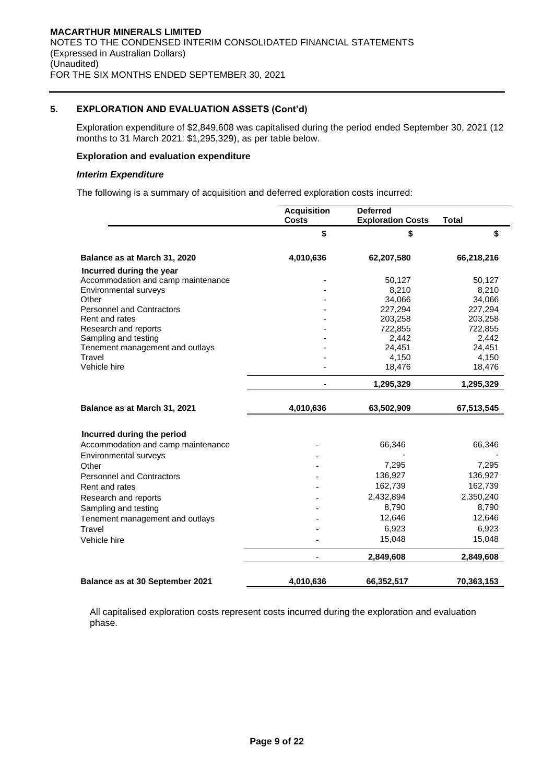# **5. EXPLORATION AND EVALUATION ASSETS (Cont'd)**

Exploration expenditure of \$2,849,608 was capitalised during the period ended September 30, 2021 (12 months to 31 March 2021: \$1,295,329), as per table below.

#### **Exploration and evaluation expenditure**

#### *Interim Expenditure*

The following is a summary of acquisition and deferred exploration costs incurred:

|                                    | <b>Acquisition</b><br><b>Costs</b> | <b>Deferred</b><br><b>Exploration Costs</b> | <b>Total</b> |
|------------------------------------|------------------------------------|---------------------------------------------|--------------|
|                                    | \$                                 | \$                                          | \$           |
| Balance as at March 31, 2020       | 4,010,636                          | 62,207,580                                  | 66,218,216   |
| Incurred during the year           |                                    |                                             |              |
| Accommodation and camp maintenance |                                    | 50,127                                      | 50,127       |
| Environmental surveys              |                                    | 8,210                                       | 8,210        |
| Other                              |                                    | 34,066                                      | 34,066       |
| <b>Personnel and Contractors</b>   |                                    | 227,294                                     | 227,294      |
| Rent and rates                     |                                    | 203,258                                     | 203,258      |
| Research and reports               |                                    | 722,855                                     | 722,855      |
| Sampling and testing               |                                    | 2,442                                       | 2,442        |
| Tenement management and outlays    |                                    | 24,451                                      | 24,451       |
| Travel                             |                                    | 4,150                                       | 4,150        |
| Vehicle hire                       |                                    | 18,476                                      | 18,476       |
|                                    | $\blacksquare$                     | 1,295,329                                   | 1,295,329    |
| Balance as at March 31, 2021       | 4,010,636                          | 63,502,909                                  | 67,513,545   |
| Incurred during the period         |                                    |                                             |              |
| Accommodation and camp maintenance |                                    | 66,346                                      | 66,346       |
| Environmental surveys              |                                    |                                             |              |
| Other                              |                                    | 7,295                                       | 7,295        |
| <b>Personnel and Contractors</b>   |                                    | 136,927                                     | 136,927      |
| Rent and rates                     |                                    | 162,739                                     | 162,739      |
| Research and reports               |                                    | 2,432,894                                   | 2,350,240    |
|                                    |                                    | 8,790                                       | 8,790        |
| Sampling and testing               |                                    | 12,646                                      | 12,646       |
| Tenement management and outlays    |                                    |                                             |              |
| Travel                             |                                    | 6,923                                       | 6,923        |
| Vehicle hire                       |                                    | 15,048                                      | 15,048       |
|                                    |                                    | 2,849,608                                   | 2,849,608    |
| Balance as at 30 September 2021    | 4,010,636                          | 66,352,517                                  | 70,363,153   |

All capitalised exploration costs represent costs incurred during the exploration and evaluation phase.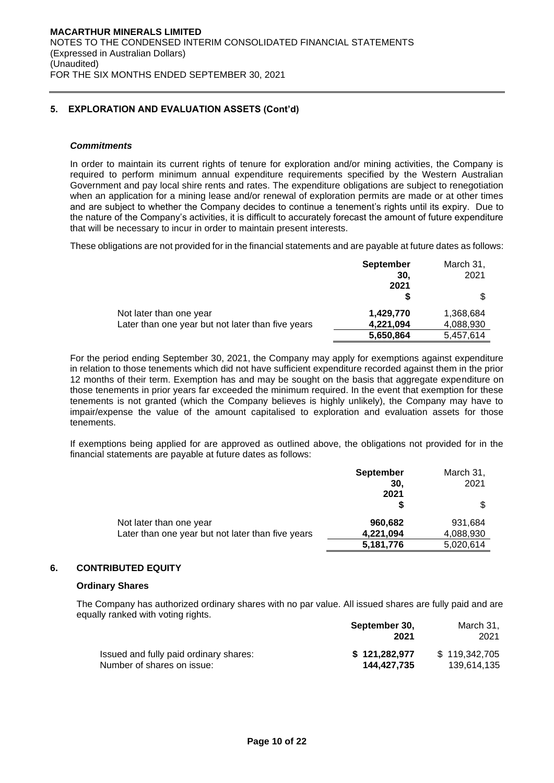# **5. EXPLORATION AND EVALUATION ASSETS (Cont'd)**

### *Commitments*

In order to maintain its current rights of tenure for exploration and/or mining activities, the Company is required to perform minimum annual expenditure requirements specified by the Western Australian Government and pay local shire rents and rates. The expenditure obligations are subject to renegotiation when an application for a mining lease and/or renewal of exploration permits are made or at other times and are subject to whether the Company decides to continue a tenement's rights until its expiry. Due to the nature of the Company's activities, it is difficult to accurately forecast the amount of future expenditure that will be necessary to incur in order to maintain present interests.

These obligations are not provided for in the financial statements and are payable at future dates as follows:

|                                                   | <b>September</b> | March 31, |
|---------------------------------------------------|------------------|-----------|
|                                                   | 30.              | 2021      |
|                                                   | 2021             |           |
|                                                   |                  |           |
| Not later than one year                           | 1,429,770        | 1,368,684 |
| Later than one year but not later than five years | 4,221,094        | 4,088,930 |
|                                                   | 5,650,864        | 5,457,614 |

For the period ending September 30, 2021, the Company may apply for exemptions against expenditure in relation to those tenements which did not have sufficient expenditure recorded against them in the prior 12 months of their term. Exemption has and may be sought on the basis that aggregate expenditure on those tenements in prior years far exceeded the minimum required. In the event that exemption for these tenements is not granted (which the Company believes is highly unlikely), the Company may have to impair/expense the value of the amount capitalised to exploration and evaluation assets for those tenements.

If exemptions being applied for are approved as outlined above, the obligations not provided for in the financial statements are payable at future dates as follows:

|                                                   | <b>September</b> | March 31, |
|---------------------------------------------------|------------------|-----------|
|                                                   | 30.              | 2021      |
|                                                   | 2021             |           |
|                                                   |                  |           |
| Not later than one year                           | 960,682          | 931.684   |
| Later than one year but not later than five years | 4,221,094        | 4,088,930 |
|                                                   | 5,181,776        | 5,020,614 |

# **6. CONTRIBUTED EQUITY**

### **Ordinary Shares**

The Company has authorized ordinary shares with no par value. All issued shares are fully paid and are equally ranked with voting rights.

|                                        | September 30,<br>2021 | March 31.<br>2021 |
|----------------------------------------|-----------------------|-------------------|
| Issued and fully paid ordinary shares: | \$121.282.977         | \$119,342,705     |
| Number of shares on issue:             | 144.427.735           | 139,614,135       |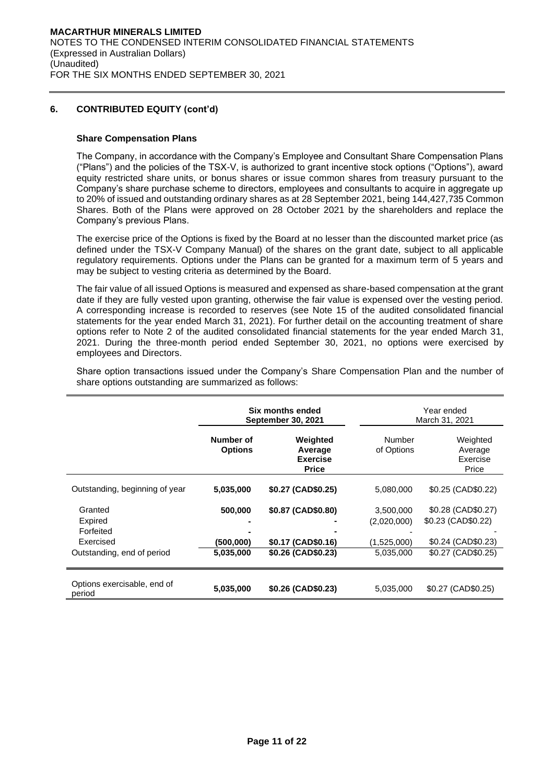### **Share Compensation Plans**

The Company, in accordance with the Company's Employee and Consultant Share Compensation Plans ("Plans") and the policies of the TSX-V, is authorized to grant incentive stock options ("Options"), award equity restricted share units, or bonus shares or issue common shares from treasury pursuant to the Company's share purchase scheme to directors, employees and consultants to acquire in aggregate up to 20% of issued and outstanding ordinary shares as at 28 September 2021, being 144,427,735 Common Shares. Both of the Plans were approved on 28 October 2021 by the shareholders and replace the Company's previous Plans.

The exercise price of the Options is fixed by the Board at no lesser than the discounted market price (as defined under the TSX-V Company Manual) of the shares on the grant date, subject to all applicable regulatory requirements. Options under the Plans can be granted for a maximum term of 5 years and may be subject to vesting criteria as determined by the Board.

The fair value of all issued Options is measured and expensed as share-based compensation at the grant date if they are fully vested upon granting, otherwise the fair value is expensed over the vesting period. A corresponding increase is recorded to reserves (see Note 15 of the audited consolidated financial statements for the year ended March 31, 2021). For further detail on the accounting treatment of share options refer to Note 2 of the audited consolidated financial statements for the year ended March 31, 2021. During the three-month period ended September 30, 2021, no options were exercised by employees and Directors.

Share option transactions issued under the Company's Share Compensation Plan and the number of share options outstanding are summarized as follows:

|                                                                            | Six months ended<br><b>September 30, 2021</b> |                                                                |                                                      | Year ended<br>March 31, 2021                                                             |
|----------------------------------------------------------------------------|-----------------------------------------------|----------------------------------------------------------------|------------------------------------------------------|------------------------------------------------------------------------------------------|
|                                                                            | Number of<br><b>Options</b>                   | Weighted<br>Average<br><b>Exercise</b><br><b>Price</b>         | Number<br>of Options                                 | Weighted<br>Average<br>Exercise<br>Price                                                 |
| Outstanding, beginning of year                                             | 5,035,000                                     | \$0.27 (CAD\$0.25)                                             | 5,080,000                                            | \$0.25 (CAD\$0.22)                                                                       |
| Granted<br>Expired<br>Forfeited<br>Exercised<br>Outstanding, end of period | 500,000<br>(500,000)<br>5,035,000             | \$0.87 (CAD\$0.80)<br>\$0.17 (CAD\$0.16)<br>\$0.26 (CAD\$0.23) | 3,500,000<br>(2,020,000)<br>(1,525,000)<br>5,035,000 | \$0.28 (CAD\$0.27)<br>\$0.23 (CAD\$0.22)<br>$$0.24$ (CAD $$0.23$ )<br>\$0.27 (CAD\$0.25) |
| Options exercisable, end of<br>period                                      | 5,035,000                                     | \$0.26 (CAD\$0.23)                                             | 5,035,000                                            | \$0.27 (CAD\$0.25)                                                                       |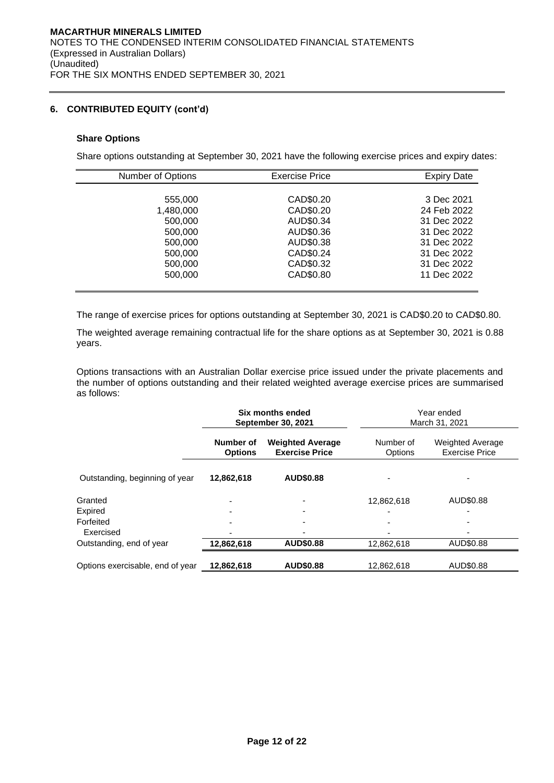### **Share Options**

Share options outstanding at September 30, 2021 have the following exercise prices and expiry dates:

| Number of Options | <b>Exercise Price</b> | <b>Expiry Date</b> |
|-------------------|-----------------------|--------------------|
|                   |                       |                    |
| 555,000           | CAD\$0.20             | 3 Dec 2021         |
| 1,480,000         | CAD\$0.20             | 24 Feb 2022        |
| 500,000           | AUD\$0.34             | 31 Dec 2022        |
| 500,000           | AUD\$0.36             | 31 Dec 2022        |
| 500,000           | AUD\$0.38             | 31 Dec 2022        |
| 500,000           | CAD\$0.24             | 31 Dec 2022        |
| 500,000           | CAD\$0.32             | 31 Dec 2022        |
| 500,000           | CAD\$0.80             | 11 Dec 2022        |
|                   |                       |                    |

The range of exercise prices for options outstanding at September 30, 2021 is CAD\$0.20 to CAD\$0.80.

The weighted average remaining contractual life for the share options as at September 30, 2021 is 0.88 years.

Options transactions with an Australian Dollar exercise price issued under the private placements and the number of options outstanding and their related weighted average exercise prices are summarised as follows:

|                                  |                             | Six months ended<br><b>September 30, 2021</b>    | Year ended<br>March 31, 2021 |                                                  |  |
|----------------------------------|-----------------------------|--------------------------------------------------|------------------------------|--------------------------------------------------|--|
|                                  | Number of<br><b>Options</b> | <b>Weighted Average</b><br><b>Exercise Price</b> | Number of<br>Options         | <b>Weighted Average</b><br><b>Exercise Price</b> |  |
| Outstanding, beginning of year   | 12,862,618                  | <b>AUD\$0.88</b>                                 |                              |                                                  |  |
| Granted                          |                             |                                                  | 12,862,618                   | AUD\$0.88                                        |  |
| Expired                          |                             | ۰                                                |                              |                                                  |  |
| Forfeited                        |                             | ۰                                                |                              |                                                  |  |
| Exercised                        |                             | -                                                |                              |                                                  |  |
| Outstanding, end of year         | 12,862,618                  | <b>AUD\$0.88</b>                                 | 12,862,618                   | AUD\$0.88                                        |  |
| Options exercisable, end of year | 12,862,618                  | <b>AUD\$0.88</b>                                 | 12,862,618                   | AUD\$0.88                                        |  |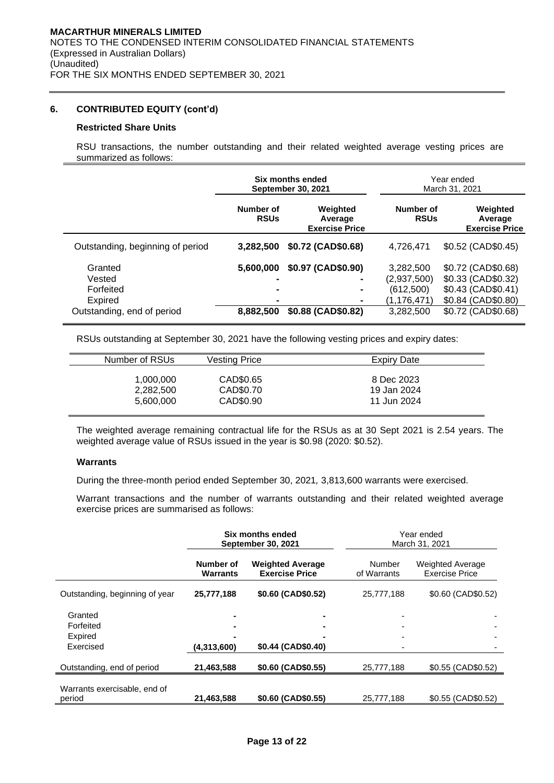#### **Restricted Share Units**

RSU transactions, the number outstanding and their related weighted average vesting prices are summarized as follows:

|                                                                         |                                                                 | Six months ended<br><b>September 30, 2021</b> | Year ended<br>March 31, 2021                                      |                                                                                                            |  |
|-------------------------------------------------------------------------|-----------------------------------------------------------------|-----------------------------------------------|-------------------------------------------------------------------|------------------------------------------------------------------------------------------------------------|--|
|                                                                         | Number of<br><b>RSUs</b>                                        | Weighted<br>Average<br><b>Exercise Price</b>  | Number of<br><b>RSUs</b>                                          | Weighted<br>Average<br><b>Exercise Price</b>                                                               |  |
| Outstanding, beginning of period                                        | 3.282.500                                                       | \$0.72 (CAD\$0.68)                            | 4,726,471                                                         | $$0.52$ (CAD $$0.45$ )                                                                                     |  |
| Granted<br>Vested<br>Forfeited<br>Expired<br>Outstanding, end of period | 5,600,000<br>-<br>$\blacksquare$<br>$\blacksquare$<br>8,882,500 | \$0.97 (CAD\$0.90)<br>\$0.88 (CAD\$0.82)      | 3,282,500<br>(2,937,500)<br>(612,500)<br>(1,176,471)<br>3,282,500 | \$0.72 (CAD\$0.68)<br>\$0.33 (CAD\$0.32)<br>\$0.43 (CAD\$0.41)<br>\$0.84 (CAD\$0.80)<br>\$0.72 (CAD\$0.68) |  |

RSUs outstanding at September 30, 2021 have the following vesting prices and expiry dates:

| Number of RSUs | Vesting Price | Expiry Date |
|----------------|---------------|-------------|
| 1,000,000      | CAD\$0.65     | 8 Dec 2023  |
| 2,282,500      | CAD\$0.70     | 19 Jan 2024 |
| 5,600,000      | CAD\$0.90     | 11 Jun 2024 |

The weighted average remaining contractual life for the RSUs as at 30 Sept 2021 is 2.54 years. The weighted average value of RSUs issued in the year is \$0.98 (2020: \$0.52).

# **Warrants**

During the three-month period ended September 30, 2021*,* 3,813,600 warrants were exercised.

Warrant transactions and the number of warrants outstanding and their related weighted average exercise prices are summarised as follows:

|                                |                              | Six months ended<br><b>September 30, 2021</b>    | Year ended<br>March 31, 2021 |                                                  |  |
|--------------------------------|------------------------------|--------------------------------------------------|------------------------------|--------------------------------------------------|--|
|                                | Number of<br><b>Warrants</b> | <b>Weighted Average</b><br><b>Exercise Price</b> | Number<br>of Warrants        | <b>Weighted Average</b><br><b>Exercise Price</b> |  |
| Outstanding, beginning of year | 25,777,188                   | \$0.60 (CAD\$0.52)                               | 25,777,188                   | \$0.60 (CAD\$0.52)                               |  |
| Granted                        |                              |                                                  |                              |                                                  |  |
| Forfeited                      |                              |                                                  |                              |                                                  |  |
| Expired                        |                              |                                                  |                              |                                                  |  |
| Exercised                      | (4,313,600)                  | \$0.44 (CAD\$0.40)                               |                              |                                                  |  |
| Outstanding, end of period     | 21,463,588                   | \$0.60 (CAD\$0.55)                               | 25,777,188                   | \$0.55 (CAD\$0.52)                               |  |
| Warrants exercisable, end of   |                              |                                                  |                              |                                                  |  |
| period                         | 21,463,588                   | \$0.60 (CAD\$0.55)                               | 25.777.188                   | \$0.55 (CAD\$0.52)                               |  |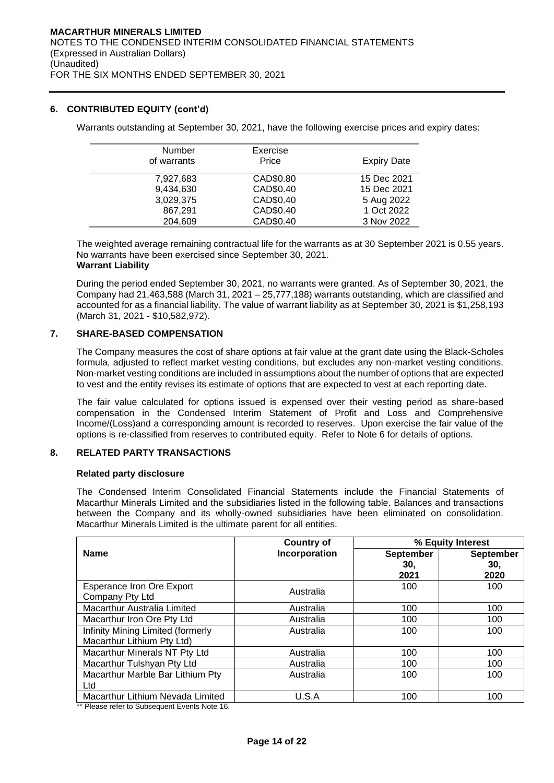Warrants outstanding at September 30, 2021, have the following exercise prices and expiry dates:

| Number<br>of warrants | Exercise<br>Price | <b>Expiry Date</b> |
|-----------------------|-------------------|--------------------|
| 7,927,683             | CAD\$0.80         | 15 Dec 2021        |
| 9,434,630             | CAD\$0.40         | 15 Dec 2021        |
| 3,029,375             | CAD\$0.40         | 5 Aug 2022         |
| 867,291               | CAD\$0.40         | 1 Oct 2022         |
| 204,609               | CAD\$0.40         | 3 Nov 2022         |

The weighted average remaining contractual life for the warrants as at 30 September 2021 is 0.55 years. No warrants have been exercised since September 30, 2021.

# **Warrant Liability**

During the period ended September 30, 2021, no warrants were granted. As of September 30, 2021, the Company had 21,463,588 (March 31, 2021 – 25,777,188) warrants outstanding, which are classified and accounted for as a financial liability. The value of warrant liability as at September 30, 2021 is \$1,258,193 (March 31, 2021 - \$10,582,972).

# **7. SHARE-BASED COMPENSATION**

The Company measures the cost of share options at fair value at the grant date using the Black-Scholes formula, adjusted to reflect market vesting conditions, but excludes any non-market vesting conditions. Non-market vesting conditions are included in assumptions about the number of options that are expected to vest and the entity revises its estimate of options that are expected to vest at each reporting date.

The fair value calculated for options issued is expensed over their vesting period as share-based compensation in the Condensed Interim Statement of Profit and Loss and Comprehensive Income/(Loss)and a corresponding amount is recorded to reserves. Upon exercise the fair value of the options is re-classified from reserves to contributed equity. Refer to Note 6 for details of options.

# **8. RELATED PARTY TRANSACTIONS**

### **Related party disclosure**

The Condensed Interim Consolidated Financial Statements include the Financial Statements of Macarthur Minerals Limited and the subsidiaries listed in the following table. Balances and transactions between the Company and its wholly-owned subsidiaries have been eliminated on consolidation. Macarthur Minerals Limited is the ultimate parent for all entities.

|                                    | <b>Country of</b> | % Equity Interest |                  |  |
|------------------------------------|-------------------|-------------------|------------------|--|
| <b>Name</b>                        | Incorporation     | September         | <b>September</b> |  |
|                                    |                   | 30.               | 30.              |  |
|                                    |                   | 2021              | 2020             |  |
| <b>Esperance Iron Ore Export</b>   |                   | 100               | 100              |  |
| Company Pty Ltd                    | Australia         |                   |                  |  |
| <b>Macarthur Australia Limited</b> | Australia         | 100               | 100              |  |
| Macarthur Iron Ore Pty Ltd         | Australia         | 100               | 100              |  |
| Infinity Mining Limited (formerly  | Australia         | 100               | 100              |  |
| Macarthur Lithium Pty Ltd)         |                   |                   |                  |  |
| Macarthur Minerals NT Pty Ltd      | Australia         | 100               | 100              |  |
| Macarthur Tulshyan Pty Ltd         | Australia         | 100               | 100              |  |
| Macarthur Marble Bar Lithium Pty   | Australia         | 100               | 100              |  |
| Ltd                                |                   |                   |                  |  |
| Macarthur Lithium Nevada Limited   | U.S.A             | 100               | 100              |  |

Please refer to Subsequent Events Note 16.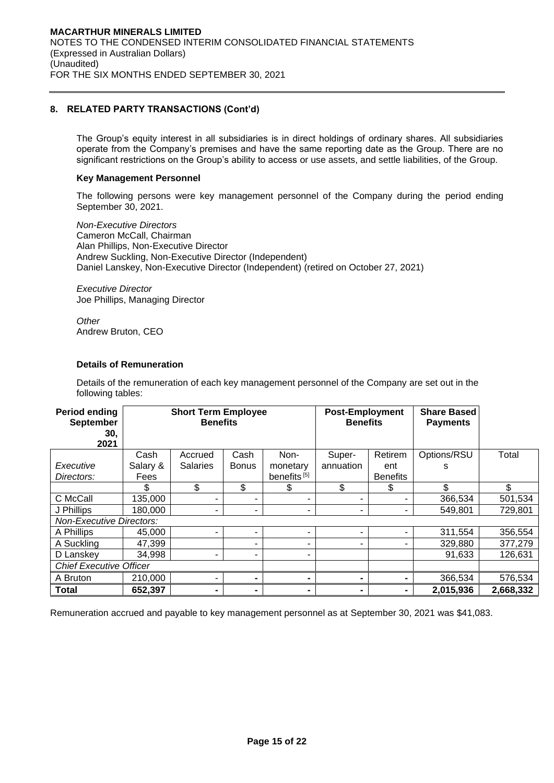# **8. RELATED PARTY TRANSACTIONS (Cont'd)**

The Group's equity interest in all subsidiaries is in direct holdings of ordinary shares. All subsidiaries operate from the Company's premises and have the same reporting date as the Group. There are no significant restrictions on the Group's ability to access or use assets, and settle liabilities, of the Group.

# **Key Management Personnel**

The following persons were key management personnel of the Company during the period ending September 30, 2021.

*Non-Executive Directors*  Cameron McCall, Chairman Alan Phillips, Non-Executive Director Andrew Suckling, Non-Executive Director (Independent) Daniel Lanskey, Non-Executive Director (Independent) (retired on October 27, 2021)

*Executive Director*  Joe Phillips, Managing Director

*Other*  Andrew Bruton, CEO

### **Details of Remuneration**

Details of the remuneration of each key management personnel of the Company are set out in the following tables:

| <b>Period ending</b><br><b>September</b><br>30.<br>2021 |          | <b>Short Term Employee</b><br><b>Benefits</b> |              |                         | <b>Post-Employment</b><br><b>Benefits</b> |                 | <b>Share Based</b><br><b>Payments</b> |           |
|---------------------------------------------------------|----------|-----------------------------------------------|--------------|-------------------------|-------------------------------------------|-----------------|---------------------------------------|-----------|
|                                                         | Cash     | Accrued                                       | Cash         | Non-                    | Super-                                    | Retirem         | Options/RSU                           | Total     |
| Executive                                               | Salary & | <b>Salaries</b>                               | <b>Bonus</b> | monetary                | annuation                                 | ent             | s                                     |           |
| Directors:                                              | Fees     |                                               |              | benefits <sup>[5]</sup> |                                           | <b>Benefits</b> |                                       |           |
|                                                         | \$       | \$                                            | \$           | \$                      | \$                                        | \$              | \$                                    | \$        |
| C McCall                                                | 135,000  | -                                             |              |                         |                                           |                 | 366,534                               | 501,534   |
| J Phillips                                              | 180.000  | -                                             |              |                         |                                           |                 | 549.801                               | 729,801   |
| <b>Non-Executive Directors:</b>                         |          |                                               |              |                         |                                           |                 |                                       |           |
| A Phillips                                              | 45,000   | ۰                                             |              |                         |                                           |                 | 311,554                               | 356,554   |
| A Suckling                                              | 47,399   |                                               |              |                         |                                           |                 | 329,880                               | 377,279   |
| D Lanskey                                               | 34,998   | -                                             |              |                         |                                           |                 | 91,633                                | 126,631   |
| <b>Chief Executive Officer</b>                          |          |                                               |              |                         |                                           |                 |                                       |           |
| A Bruton                                                | 210,000  |                                               |              |                         |                                           |                 | 366,534                               | 576,534   |
| <b>Total</b>                                            | 652,397  | $\blacksquare$                                |              |                         |                                           |                 | 2,015,936                             | 2,668,332 |

Remuneration accrued and payable to key management personnel as at September 30, 2021 was \$41,083.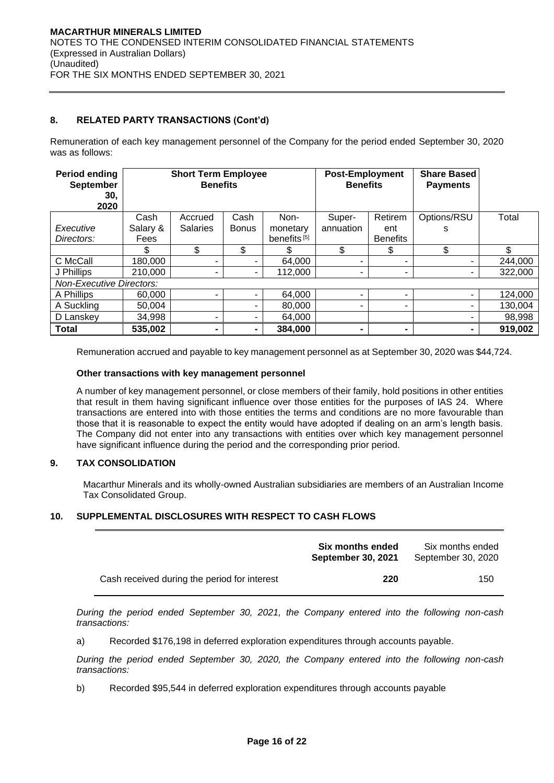# **8. RELATED PARTY TRANSACTIONS (Cont'd)**

Remuneration of each key management personnel of the Company for the period ended September 30, 2020 was as follows:

| Period ending<br><b>September</b><br>30.<br>2020 |          | <b>Short Term Employee</b><br><b>Benefits</b> |                          |                         | <b>Post-Employment</b><br><b>Benefits</b> |                 | <b>Share Based</b><br><b>Payments</b> |         |
|--------------------------------------------------|----------|-----------------------------------------------|--------------------------|-------------------------|-------------------------------------------|-----------------|---------------------------------------|---------|
|                                                  | Cash     | Accrued                                       | Cash                     | Non-                    | Super-                                    | Retirem         | Options/RSU                           | Total   |
| Executive                                        | Salary & | <b>Salaries</b>                               | <b>Bonus</b>             | monetary                | annuation                                 | ent             | s                                     |         |
| Directors:                                       | Fees     |                                               |                          | benefits <sup>[5]</sup> |                                           | <b>Benefits</b> |                                       |         |
|                                                  | \$       | \$                                            | \$                       |                         | \$                                        | \$              | \$                                    | \$      |
| C McCall                                         | 180,000  |                                               |                          | 64,000                  | ۰                                         |                 |                                       | 244,000 |
| J Phillips                                       | 210,000  | ۰                                             | $\overline{\phantom{a}}$ | 112,000                 |                                           | ٠               |                                       | 322,000 |
| <b>Non-Executive Directors:</b>                  |          |                                               |                          |                         |                                           |                 |                                       |         |
| A Phillips                                       | 60.000   | -                                             |                          | 64,000                  |                                           |                 |                                       | 124,000 |
| A Suckling                                       | 50.004   |                                               |                          | 80,000                  | ۰                                         | ۰               |                                       | 130,004 |
| D Lanskey                                        | 34,998   | -                                             |                          | 64,000                  |                                           |                 |                                       | 98,998  |
| <b>Total</b>                                     | 535,002  | -                                             |                          | 384,000                 | ۰                                         | $\blacksquare$  |                                       | 919,002 |

Remuneration accrued and payable to key management personnel as at September 30, 2020 was \$44,724.

#### **Other transactions with key management personnel**

A number of key management personnel, or close members of their family, hold positions in other entities that result in them having significant influence over those entities for the purposes of IAS 24. Where transactions are entered into with those entities the terms and conditions are no more favourable than those that it is reasonable to expect the entity would have adopted if dealing on an arm's length basis. The Company did not enter into any transactions with entities over which key management personnel have significant influence during the period and the corresponding prior period.

# **9. TAX CONSOLIDATION**

Macarthur Minerals and its wholly-owned Australian subsidiaries are members of an Australian Income Tax Consolidated Group.

### **10. SUPPLEMENTAL DISCLOSURES WITH RESPECT TO CASH FLOWS**

|                                              | <b>Six months ended</b><br><b>September 30, 2021</b> | Six months ended<br>September 30, 2020 |
|----------------------------------------------|------------------------------------------------------|----------------------------------------|
| Cash received during the period for interest | 220                                                  | 150                                    |

*During the period ended September 30, 2021, the Company entered into the following non-cash transactions:*

a) Recorded \$176,198 in deferred exploration expenditures through accounts payable.

*During the period ended September 30, 2020, the Company entered into the following non-cash transactions:*

b) Recorded \$95,544 in deferred exploration expenditures through accounts payable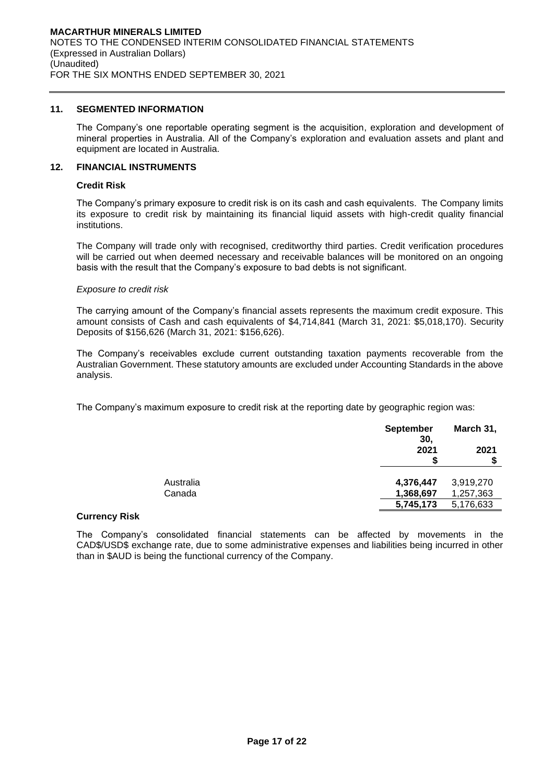# **11. SEGMENTED INFORMATION**

The Company's one reportable operating segment is the acquisition, exploration and development of mineral properties in Australia. All of the Company's exploration and evaluation assets and plant and equipment are located in Australia.

#### **12. FINANCIAL INSTRUMENTS**

#### **Credit Risk**

The Company's primary exposure to credit risk is on its cash and cash equivalents. The Company limits its exposure to credit risk by maintaining its financial liquid assets with high-credit quality financial institutions.

The Company will trade only with recognised, creditworthy third parties. Credit verification procedures will be carried out when deemed necessary and receivable balances will be monitored on an ongoing basis with the result that the Company's exposure to bad debts is not significant.

#### *Exposure to credit risk*

The carrying amount of the Company's financial assets represents the maximum credit exposure. This amount consists of Cash and cash equivalents of \$4,714,841 (March 31, 2021: \$5,018,170). Security Deposits of \$156,626 (March 31, 2021: \$156,626).

The Company's receivables exclude current outstanding taxation payments recoverable from the Australian Government. These statutory amounts are excluded under Accounting Standards in the above analysis.

The Company's maximum exposure to credit risk at the reporting date by geographic region was:

|                     | <b>September</b><br>30, | March 31,              |
|---------------------|-------------------------|------------------------|
|                     | 2021                    | 2021                   |
| Australia<br>Canada | 4,376,447<br>1,368,697  | 3,919,270<br>1,257,363 |
|                     | 5,745,173               | 5,176,633              |

### **Currency Risk**

The Company's consolidated financial statements can be affected by movements in the CAD\$/USD\$ exchange rate, due to some administrative expenses and liabilities being incurred in other than in \$AUD is being the functional currency of the Company.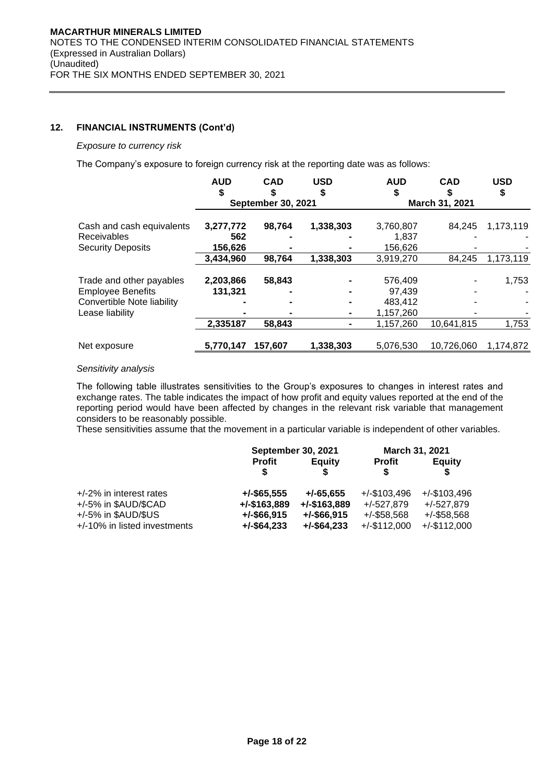# **12. FINANCIAL INSTRUMENTS (Cont'd)**

#### *Exposure to currency risk*

The Company's exposure to foreign currency risk at the reporting date was as follows:

|                                                | <b>AUD</b>     | <b>CAD</b>                | <b>USD</b><br>S | <b>AUD</b>           | <b>CAD</b>     | <b>USD</b><br>\$ |
|------------------------------------------------|----------------|---------------------------|-----------------|----------------------|----------------|------------------|
|                                                |                | <b>September 30, 2021</b> |                 |                      | March 31, 2021 |                  |
| Cash and cash equivalents                      | 3,277,772      | 98,764                    | 1,338,303       | 3,760,807            | 84.245         | 1,173,119        |
| <b>Receivables</b><br><b>Security Deposits</b> | 562<br>156,626 |                           |                 | 1,837<br>156,626     |                |                  |
|                                                | 3,434,960      | 98,764                    | 1,338,303       | 3,919,270            | 84,245         | 1,173,119        |
| Trade and other payables                       | 2,203,866      | 58,843                    |                 | 576.409              |                | 1,753            |
| <b>Employee Benefits</b>                       | 131,321        |                           |                 | 97.439               |                |                  |
| Convertible Note liability<br>Lease liability  |                |                           |                 | 483.412<br>1,157,260 |                |                  |
|                                                | 2,335187       | 58,843                    |                 | 1,157,260            | 10,641,815     | 1,753            |
| Net exposure                                   | 5,770,147      | 157.607                   | 1,338,303       | 5,076,530            | 10,726,060     | 1,174,872        |

### *Sensitivity analysis*

The following table illustrates sensitivities to the Group's exposures to changes in interest rates and exchange rates. The table indicates the impact of how profit and equity values reported at the end of the reporting period would have been affected by changes in the relevant risk variable that management considers to be reasonably possible.

These sensitivities assume that the movement in a particular variable is independent of other variables.

|                              | <b>September 30, 2021</b> |                 | March 31, 2021     |                 |
|------------------------------|---------------------------|-----------------|--------------------|-----------------|
|                              | <b>Profit</b><br>S.       | <b>Equity</b>   | <b>Profit</b><br>S | <b>Equity</b>   |
| $+/-2\%$ in interest rates   | $+/-$ \$65,555            | $+/-65.655$     | $+/-$ \$103,496    | $+/-$ \$103,496 |
| +/-5% in \$AUD/\$CAD         | $+/-$ \$163,889           | $+/-$ \$163,889 | $+/-527,879$       | $+/-527.879$    |
| $+/-5\%$ in \$AUD/\$US       | $+/-$ \$66,915            | $+/-$ \$66,915  | $+/-$ \$58,568     | $+/-$ \$58,568  |
| +/-10% in listed investments | $+/-$ \$64,233            | $+/-$ \$64,233  | $+/-$ \$112,000    | $+/-$ \$112,000 |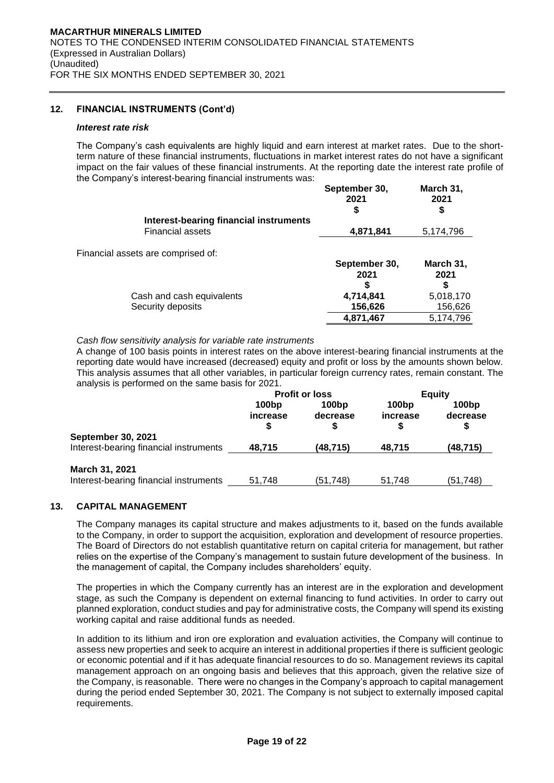# **12. FINANCIAL INSTRUMENTS (Cont'd)**

#### *Interest rate risk*

The Company's cash equivalents are highly liquid and earn interest at market rates. Due to the shortterm nature of these financial instruments, fluctuations in market interest rates do not have a significant impact on the fair values of these financial instruments. At the reporting date the interest rate profile of the Company's interest-bearing financial instruments was: **September 30, March 31,**

|                                        | September 30,<br>2021<br>\$ | <b>March 31,</b><br>2021<br>\$ |
|----------------------------------------|-----------------------------|--------------------------------|
| Interest-bearing financial instruments |                             |                                |
| <b>Financial assets</b>                | 4,871,841                   | 5,174,796                      |
| Financial assets are comprised of:     |                             |                                |
|                                        | September 30,               | March 31,                      |
|                                        | 2021                        | 2021                           |
|                                        | S                           |                                |
| Cash and cash equivalents              | 4,714,841                   | 5,018,170                      |
| Security deposits                      | 156,626                     | 156,626                        |
|                                        | 4,871,467                   | 5.174.796                      |

*Cash flow sensitivity analysis for variable rate instruments*

A change of 100 basis points in interest rates on the above interest-bearing financial instruments at the reporting date would have increased (decreased) equity and profit or loss by the amounts shown below. This analysis assumes that all other variables, in particular foreign currency rates, remain constant. The analysis is performed on the same basis for 2021.

|                                                                     | <b>Profit or loss</b>         |                               | <b>Equity</b>     |                   |
|---------------------------------------------------------------------|-------------------------------|-------------------------------|-------------------|-------------------|
|                                                                     | 100 <sub>bp</sub><br>increase | 100 <sub>bp</sub><br>decrease | 100bp<br>increase | 100bp<br>decrease |
| <b>September 30, 2021</b><br>Interest-bearing financial instruments | 48.715                        | (48,715)                      | 48.715            | (48,715)          |
| March 31, 2021<br>Interest-bearing financial instruments            | 51.748                        | (51,748)                      | 51.748            | (51,748)          |

# **13. CAPITAL MANAGEMENT**

The Company manages its capital structure and makes adjustments to it, based on the funds available to the Company, in order to support the acquisition, exploration and development of resource properties. The Board of Directors do not establish quantitative return on capital criteria for management, but rather relies on the expertise of the Company's management to sustain future development of the business. In the management of capital, the Company includes shareholders' equity.

The properties in which the Company currently has an interest are in the exploration and development stage, as such the Company is dependent on external financing to fund activities. In order to carry out planned exploration, conduct studies and pay for administrative costs, the Company will spend its existing working capital and raise additional funds as needed.

In addition to its lithium and iron ore exploration and evaluation activities, the Company will continue to assess new properties and seek to acquire an interest in additional properties if there is sufficient geologic or economic potential and if it has adequate financial resources to do so. Management reviews its capital management approach on an ongoing basis and believes that this approach, given the relative size of the Company, is reasonable. There were no changes in the Company's approach to capital management during the period ended September 30, 2021. The Company is not subject to externally imposed capital requirements.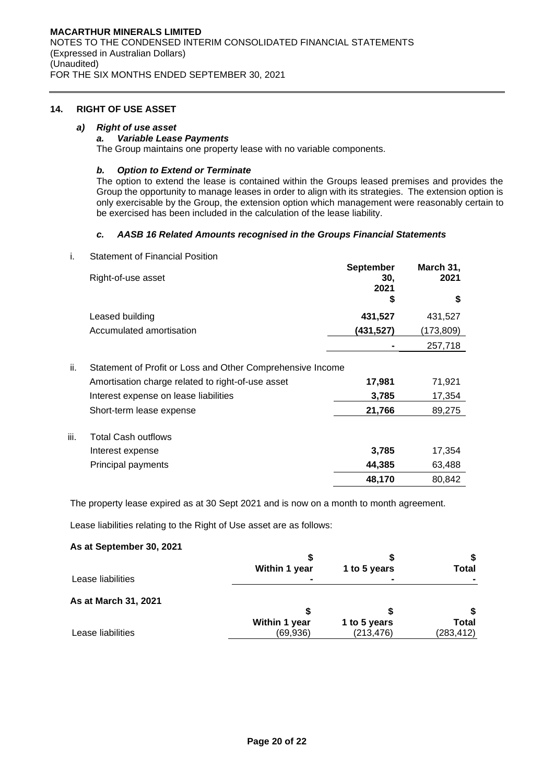### **14. RIGHT OF USE ASSET**

#### *a) Right of use asset*

#### *a. Variable Lease Payments*

The Group maintains one property lease with no variable components.

# *b. Option to Extend or Terminate*

The option to extend the lease is contained within the Groups leased premises and provides the Group the opportunity to manage leases in order to align with its strategies. The extension option is only exercisable by the Group, the extension option which management were reasonably certain to be exercised has been included in the calculation of the lease liability.

#### *c. AASB 16 Related Amounts recognised in the Groups Financial Statements*

i. Statement of Financial Position

|      | Right-of-use asset                                         | <b>September</b><br>30,<br>2021 | March 31,<br>2021 |
|------|------------------------------------------------------------|---------------------------------|-------------------|
|      |                                                            | \$                              | S                 |
|      | Leased building                                            | 431,527                         | 431,527           |
|      | Accumulated amortisation                                   | (431, 527)                      | (173,809)         |
|      |                                                            |                                 | 257,718           |
| ii.  | Statement of Profit or Loss and Other Comprehensive Income |                                 |                   |
|      | Amortisation charge related to right-of-use asset          | 17,981                          | 71,921            |
|      | Interest expense on lease liabilities                      | 3,785                           | 17,354            |
|      | Short-term lease expense                                   | 21,766                          | 89,275            |
| iii. | <b>Total Cash outflows</b>                                 |                                 |                   |
|      | Interest expense                                           | 3,785                           | 17,354            |
|      | Principal payments                                         | 44,385                          | 63,488            |
|      |                                                            | 48,170                          | 80,842            |

The property lease expired as at 30 Sept 2021 and is now on a month to month agreement.

Lease liabilities relating to the Right of Use asset are as follows:

# **As at September 30, 2021**

|                      | Within 1 year | 1 to 5 years | Total        |
|----------------------|---------------|--------------|--------------|
| Lease liabilities    |               |              |              |
| As at March 31, 2021 |               |              |              |
|                      | Within 1 year | 1 to 5 years | <b>Total</b> |
| Lease liabilities    | (69, 936)     | (213, 476)   | (283, 412)   |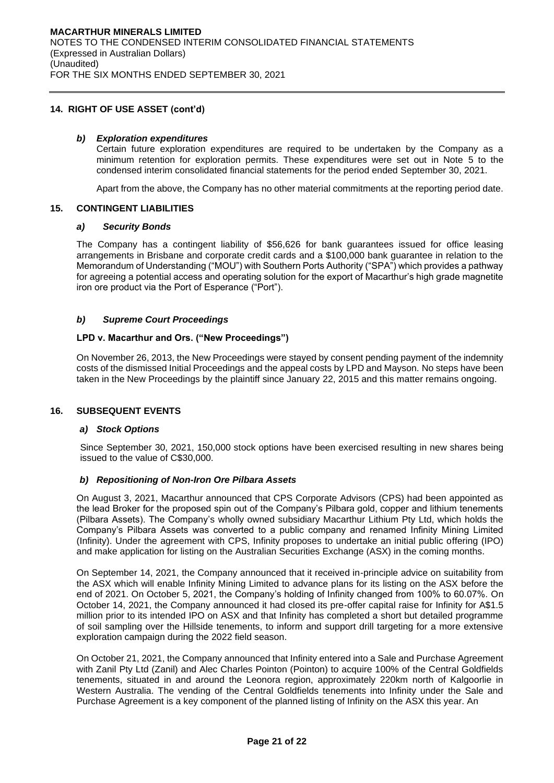### **14. RIGHT OF USE ASSET (cont'd)**

### *b) Exploration expenditures*

Certain future exploration expenditures are required to be undertaken by the Company as a minimum retention for exploration permits. These expenditures were set out in Note 5 to the condensed interim consolidated financial statements for the period ended September 30, 2021.

Apart from the above, the Company has no other material commitments at the reporting period date.

### **15. CONTINGENT LIABILITIES**

#### *a) Security Bonds*

The Company has a contingent liability of \$56,626 for bank guarantees issued for office leasing arrangements in Brisbane and corporate credit cards and a \$100,000 bank guarantee in relation to the Memorandum of Understanding ("MOU") with Southern Ports Authority ("SPA") which provides a pathway for agreeing a potential access and operating solution for the export of Macarthur's high grade magnetite iron ore product via the Port of Esperance ("Port").

### *b) Supreme Court Proceedings*

### **LPD v. Macarthur and Ors. ("New Proceedings")**

On November 26, 2013, the New Proceedings were stayed by consent pending payment of the indemnity costs of the dismissed Initial Proceedings and the appeal costs by LPD and Mayson. No steps have been taken in the New Proceedings by the plaintiff since January 22, 2015 and this matter remains ongoing.

### **16. SUBSEQUENT EVENTS**

### *a) Stock Options*

Since September 30, 2021, 150,000 stock options have been exercised resulting in new shares being issued to the value of C\$30,000.

### *b) Repositioning of Non-Iron Ore Pilbara Assets*

On August 3, 2021, Macarthur announced that CPS Corporate Advisors (CPS) had been appointed as the lead Broker for the proposed spin out of the Company's Pilbara gold, copper and lithium tenements (Pilbara Assets). The Company's wholly owned subsidiary Macarthur Lithium Pty Ltd, which holds the Company's Pilbara Assets was converted to a public company and renamed Infinity Mining Limited (Infinity). Under the agreement with CPS, Infinity proposes to undertake an initial public offering (IPO) and make application for listing on the Australian Securities Exchange (ASX) in the coming months.

On September 14, 2021, the Company announced that it received in-principle advice on suitability from the ASX which will enable Infinity Mining Limited to advance plans for its listing on the ASX before the end of 2021. On October 5, 2021, the Company's holding of Infinity changed from 100% to 60.07%. On October 14, 2021, the Company announced it had closed its pre-offer capital raise for Infinity for A\$1.5 million prior to its intended IPO on ASX and that Infinity has completed a short but detailed programme of soil sampling over the Hillside tenements, to inform and support drill targeting for a more extensive exploration campaign during the 2022 field season.

On October 21, 2021, the Company announced that Infinity entered into a Sale and Purchase Agreement with Zanil Pty Ltd (Zanil) and Alec Charles Pointon (Pointon) to acquire 100% of the Central Goldfields tenements, situated in and around the Leonora region, approximately 220km north of Kalgoorlie in Western Australia. The vending of the Central Goldfields tenements into Infinity under the Sale and Purchase Agreement is a key component of the planned listing of Infinity on the ASX this year. An